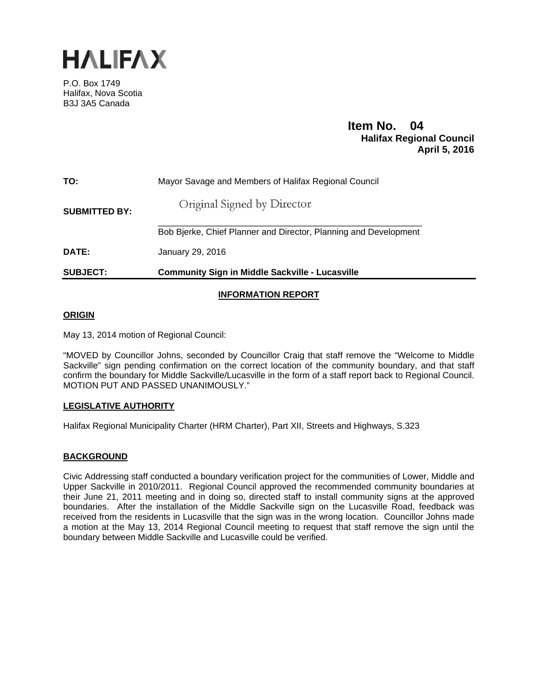

P.O. Box 1749 Halifax, Nova Scotia B3J 3A5 Canada

# **Item No. 04**<br>**Halifax Regional Council April 5, 2016**

| <b>SUBJECT:</b>      | <b>Community Sign in Middle Sackville - Lucasville</b>           |
|----------------------|------------------------------------------------------------------|
| DATE:                | January 29, 2016                                                 |
|                      | Bob Bjerke, Chief Planner and Director, Planning and Development |
| <b>SUBMITTED BY:</b> | Original Signed by Director                                      |
| TO:                  | Mayor Savage and Members of Halifax Regional Council             |

# **INFORMATION REPORT**

# **ORIGIN**

May 13, 2014 motion of Regional Council:

"MOVED by Councillor Johns, seconded by Councillor Craig that staff remove the "Welcome to Middle Sackville" sign pending confirmation on the correct location of the community boundary, and that staff confirm the boundary for Middle Sackville/Lucasville in the form of a staff report back to Regional Council. MOTION PUT AND PASSED UNANIMOUSLY."

# **LEGISLATIVE AUTHORITY**

Halifax Regional Municipality Charter (HRM Charter), Part XII, Streets and Highways, S.323

# **BACKGROUND**

Civic Addressing staff conducted a boundary verification project for the communities of Lower, Middle and Upper Sackville in 2010/2011. Regional Council approved the recommended community boundaries at their June 21, 2011 meeting and in doing so, directed staff to install community signs at the approved boundaries. After the installation of the Middle Sackville sign on the Lucasville Road, feedback was received from the residents in Lucasville that the sign was in the wrong location. Councillor Johns made a motion at the May 13, 2014 Regional Council meeting to request that staff remove the sign until the boundary between Middle Sackville and Lucasville could be verified.